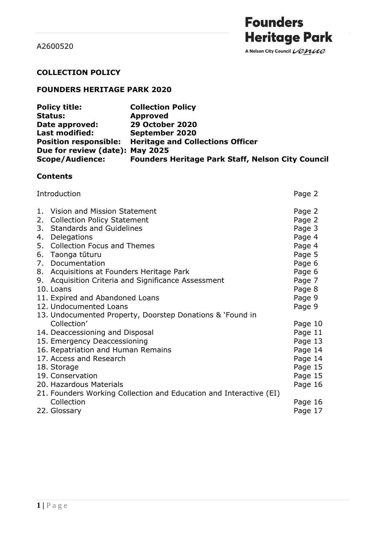A Nelson City Council Venue

### **COLLECTION POLICY**

# **FOUNDERS HERITAGE PARK 2020**

| <b>Policy title:</b>            | <b>Collection Policy</b>                                 |
|---------------------------------|----------------------------------------------------------|
| <b>Status:</b>                  | <b>Approved</b>                                          |
| Date approved:                  | <b>29 October 2020</b>                                   |
| <b>Last modified:</b>           | September 2020                                           |
|                                 | Position responsible: Heritage and Collections Officer   |
| Due for review (date): May 2025 |                                                          |
| <b>Scope/Audience:</b>          | <b>Founders Heritage Park Staff, Nelson City Council</b> |

# **Contents**

|    | Introduction                                                       |         |  |
|----|--------------------------------------------------------------------|---------|--|
| 1. | Vision and Mission Statement                                       | Page 2  |  |
| 2. | <b>Collection Policy Statement</b>                                 | Page 2  |  |
| 3. | <b>Standards and Guidelines</b>                                    | Page 3  |  |
| 4. | Delegations                                                        | Page 4  |  |
| 5. | <b>Collection Focus and Themes</b>                                 | Page 4  |  |
|    | 6. Taonga tūturu                                                   | Page 5  |  |
| 7. | Documentation                                                      | Page 6  |  |
| 8. | Acquisitions at Founders Heritage Park                             | Page 6  |  |
| 9. | Acquisition Criteria and Significance Assessment                   | Page 7  |  |
|    | 10. Loans                                                          | Page 8  |  |
|    | 11. Expired and Abandoned Loans                                    | Page 9  |  |
|    | 12. Undocumented Loans                                             | Page 9  |  |
|    | 13. Undocumented Property, Doorstep Donations & `Found in          |         |  |
|    | Collection'                                                        | Page 10 |  |
|    | 14. Deaccessioning and Disposal                                    | Page 11 |  |
|    | 15. Emergency Deaccessioning                                       | Page 13 |  |
|    | 16. Repatriation and Human Remains                                 | Page 14 |  |
|    | 17. Access and Research                                            | Page 14 |  |
|    | 18. Storage                                                        | Page 15 |  |
|    | 19. Conservation                                                   | Page 15 |  |
|    | 20. Hazardous Materials                                            | Page 16 |  |
|    | 21. Founders Working Collection and Education and Interactive (EI) |         |  |
|    | Collection                                                         | Page 16 |  |
|    | 22. Glossary                                                       | Page 17 |  |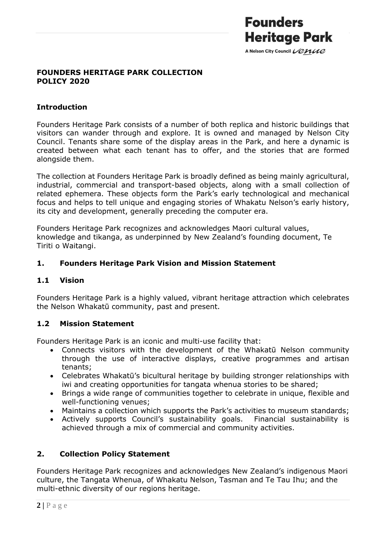

### **FOUNDERS HERITAGE PARK COLLECTION POLICY 2020**

### **Introduction**

Founders Heritage Park consists of a number of both replica and historic buildings that visitors can wander through and explore. It is owned and managed by Nelson City Council. Tenants share some of the display areas in the Park, and here a dynamic is created between what each tenant has to offer, and the stories that are formed alongside them.

The collection at Founders Heritage Park is broadly defined as being mainly agricultural, industrial, commercial and transport-based objects, along with a small collection of related ephemera. These objects form the Park's early technological and mechanical focus and helps to tell unique and engaging stories of Whakatu Nelson's early history, its city and development, generally preceding the computer era.

Founders Heritage Park recognizes and acknowledges Maori cultural values, knowledge and tikanga, as underpinned by New Zealand's founding document, Te Tiriti o Waitangi.

### **1. Founders Heritage Park Vision and Mission Statement**

### **1.1 Vision**

Founders Heritage Park is a highly valued, vibrant heritage attraction which celebrates the Nelson Whakatū community, past and present.

### **1.2 Mission Statement**

Founders Heritage Park is an iconic and multi-use facility that:

- Connects visitors with the development of the Whakatū Nelson community through the use of interactive displays, creative programmes and artisan tenants;
- Celebrates Whakatū's bicultural heritage by building stronger relationships with iwi and creating opportunities for tangata whenua stories to be shared;
- Brings a wide range of communities together to celebrate in unique, flexible and well-functioning venues;
- Maintains a collection which supports the Park's activities to museum standards;
- Actively supports Council's sustainability goals. Financial sustainability is achieved through a mix of commercial and community activities.

# **2. Collection Policy Statement**

Founders Heritage Park recognizes and acknowledges New Zealand's indigenous Maori culture, the Tangata Whenua, of Whakatu Nelson, Tasman and Te Tau Ihu; and the multi-ethnic diversity of our regions heritage.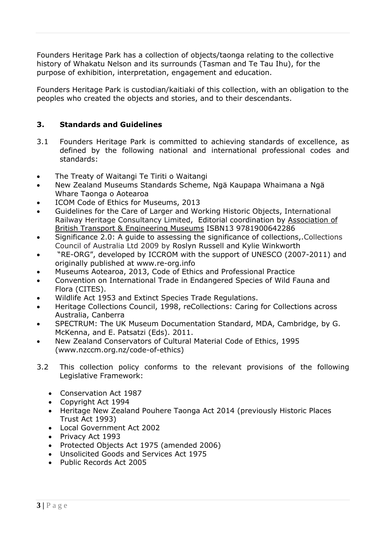Founders Heritage Park has a collection of objects/taonga relating to the collective history of Whakatu Nelson and its surrounds (Tasman and Te Tau Ihu), for the purpose of exhibition, interpretation, engagement and education.

Founders Heritage Park is custodian/kaitiaki of this collection, with an obligation to the peoples who created the objects and stories, and to their descendants.

### **3. Standards and Guidelines**

- 3.1 Founders Heritage Park is committed to achieving standards of excellence, as defined by the following national and international professional codes and standards:
- The Treaty of Waitangi Te Tiriti o Waitangi
- New Zealand Museums Standards Scheme, Ngä Kaupapa Whaimana a Ngä Whare Taonga o Aotearoa
- ICOM Code of Ethics for Museums, 2013
- Guidelines for the Care of Larger and Working Historic Objects, [International](https://www.bookdepository.com/author/International-Railway-Heritage-Consultancy-Limited) Railway Heritage [Consultancy](https://www.bookdepository.com/author/International-Railway-Heritage-Consultancy-Limited) Limited, Editorial coordination by [Association](https://www.bookdepository.com/author/Association-of-British-Transport-Engineering-Museums) of British Transport & [Engineering](https://www.bookdepository.com/author/Association-of-British-Transport-Engineering-Museums) Museums ISBN13 9781900642286
- Significance 2.0: A guide to assessing the significance of collections,.Collections Council of Australia Ltd 2009 by Roslyn Russell and Kylie Winkworth
- "RE-ORG", developed by ICCROM with the support of UNESCO (2007-2011) and originally published at www.re-org.info
- Museums Aotearoa, 2013, Code of Ethics and Professional Practice
- Convention on International Trade in Endangered Species of Wild Fauna and Flora (CITES).
- Wildlife Act 1953 and Extinct Species Trade Regulations.
- Heritage Collections Council, 1998, reCollections: Caring for Collections across Australia, Canberra
- SPECTRUM: The UK Museum Documentation Standard, MDA, Cambridge, by G. McKenna, and E. Patsatzi (Eds). 2011.
- New Zealand Conservators of Cultural Material Code of Ethics, 1995 (www.nzccm.org.nz/code-of-ethics)
- 3.2 This collection policy conforms to the relevant provisions of the following Legislative Framework:
	- Conservation Act 1987
	- Copyright Act 1994
	- Heritage New Zealand Pouhere Taonga Act 2014 (previously Historic Places Trust Act 1993)
	- Local Government Act 2002
	- Privacy Act 1993
	- Protected Objects Act 1975 (amended 2006)
	- Unsolicited Goods and Services Act 1975
	- Public Records Act 2005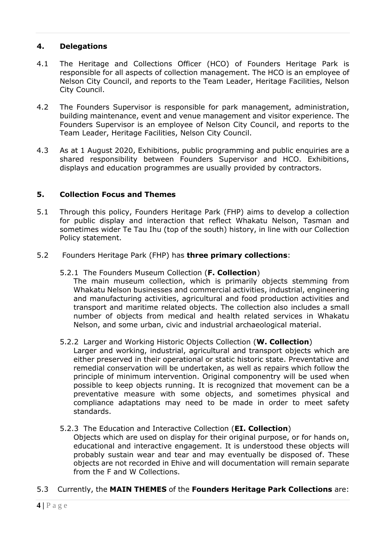### **4. Delegations**

- 4.1 The Heritage and Collections Officer (HCO) of Founders Heritage Park is responsible for all aspects of collection management. The HCO is an employee of Nelson City Council, and reports to the Team Leader, Heritage Facilities, Nelson City Council.
- 4.2 The Founders Supervisor is responsible for park management, administration, building maintenance, event and venue management and visitor experience. The Founders Supervisor is an employee of Nelson City Council, and reports to the Team Leader, Heritage Facilities, Nelson City Council.
- 4.3 As at 1 August 2020, Exhibitions, public programming and public enquiries are a shared responsibility between Founders Supervisor and HCO. Exhibitions, displays and education programmes are usually provided by contractors.

### **5. Collection Focus and Themes**

- 5.1 Through this policy, Founders Heritage Park (FHP) aims to develop a collection for public display and interaction that reflect Whakatu Nelson, Tasman and sometimes wider Te Tau Ihu (top of the south) history, in line with our Collection Policy statement.
- 5.2 Founders Heritage Park (FHP) has **three primary collections**:
	- 5.2.1 The Founders Museum Collection (**F. Collection**)

The main museum collection, which is primarily objects stemming from Whakatu Nelson businesses and commercial activities, industrial, engineering and manufacturing activities, agricultural and food production activities and transport and maritime related objects. The collection also includes a small number of objects from medical and health related services in Whakatu Nelson, and some urban, civic and industrial archaeological material.

### 5.2.2 Larger and Working Historic Objects Collection (**W. Collection**)

Larger and working, industrial, agricultural and transport objects which are either preserved in their operational or static historic state. Preventative and remedial conservation will be undertaken, as well as repairs which follow the principle of minimum intervention. Original componentry will be used when possible to keep objects running. It is recognized that movement can be a preventative measure with some objects, and sometimes physical and compliance adaptations may need to be made in order to meet safety standards.

#### 5.2.3 The Education and Interactive Collection (**EI. Collection**)

Objects which are used on display for their original purpose, or for hands on, educational and interactive engagement. It is understood these objects will probably sustain wear and tear and may eventually be disposed of. These objects are not recorded in Ehive and will documentation will remain separate from the F and W Collections.

#### 5.3 Currently, the **MAIN THEMES** of the **Founders Heritage Park Collections** are: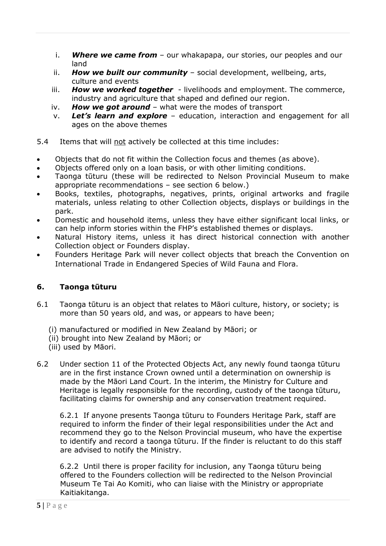- i. *Where we came from* our whakapapa, our stories, our peoples and our land
- ii. *How we built our community* social development, wellbeing, arts, culture and events
- iii. *How we worked together* livelihoods and employment. The commerce, industry and agriculture that shaped and defined our region.
- iv. *How we got around* what were the modes of transport
- v. *Let's learn and explore* education, interaction and engagement for all ages on the above themes
- 5.4 Items that will not actively be collected at this time includes:
- Objects that do not fit within the Collection focus and themes (as above).
- Objects offered only on a loan basis, or with other limiting conditions.
- Taonga tūturu (these will be redirected to Nelson Provincial Museum to make appropriate recommendations – see section 6 below.)
- Books, textiles, photographs, negatives, prints, original artworks and fragile materials, unless relating to other Collection objects, displays or buildings in the park.
- Domestic and household items, unless they have either significant local links, or can help inform stories within the FHP's established themes or displays.
- Natural History items, unless it has direct historical connection with another Collection object or Founders display.
- Founders Heritage Park will never collect objects that breach the Convention on International Trade in Endangered Species of Wild Fauna and Flora.

### **6. Taonga tūturu**

- 6.1 Taonga tūturu is an object that relates to Māori culture, history, or society; is more than 50 years old, and was, or appears to have been;
	- (i) manufactured or modified in New Zealand by Māori; or
	- (ii) brought into New Zealand by Māori; or
	- (iii) used by Māori.
- 6.2 Under section 11 of the Protected Objects Act, any newly found taonga tūturu are in the first instance Crown owned until a determination on ownership is made by the Māori Land Court. In the interim, the Ministry for Culture and Heritage is legally responsible for the recording, custody of the taonga tūturu, facilitating claims for ownership and any conservation treatment required.

6.2.1 If anyone presents Taonga tūturu to Founders Heritage Park, staff are required to inform the finder of their legal responsibilities under the Act and recommend they go to the Nelson Provincial museum, who have the expertise to identify and record a taonga tūturu. If the finder is reluctant to do this staff are advised to notify the Ministry.

6.2.2 Until there is proper facility for inclusion, any Taonga tūturu being offered to the Founders collection will be redirected to the Nelson Provincial Museum Te Tai Ao Komiti, who can liaise with the Ministry or appropriate Kaitiakitanga.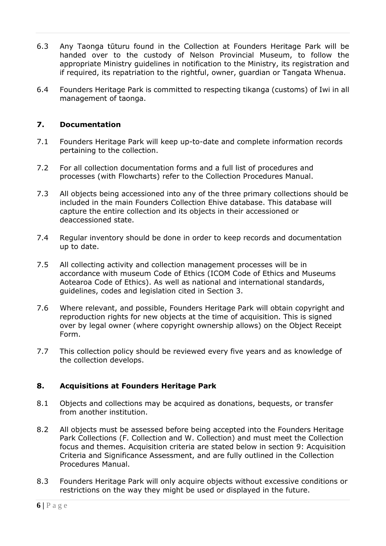- 6.3 Any Taonga tūturu found in the Collection at Founders Heritage Park will be handed over to the custody of Nelson Provincial Museum, to follow the appropriate Ministry guidelines in notification to the Ministry, its registration and if required, its repatriation to the rightful, owner, guardian or Tangata Whenua.
- 6.4 Founders Heritage Park is committed to respecting tikanga (customs) of Iwi in all management of taonga.

### **7. Documentation**

- 7.1 Founders Heritage Park will keep up-to-date and complete information records pertaining to the collection.
- 7.2 For all collection documentation forms and a full list of procedures and processes (with Flowcharts) refer to the Collection Procedures Manual.
- 7.3 All objects being accessioned into any of the three primary collections should be included in the main Founders Collection Ehive database. This database will capture the entire collection and its objects in their accessioned or deaccessioned state.
- 7.4 Regular inventory should be done in order to keep records and documentation up to date.
- 7.5 All collecting activity and collection management processes will be in accordance with museum Code of Ethics (ICOM Code of Ethics and Museums Aotearoa Code of Ethics). As well as national and international standards, guidelines, codes and legislation cited in Section 3.
- 7.6 Where relevant, and possible, Founders Heritage Park will obtain copyright and reproduction rights for new objects at the time of acquisition. This is signed over by legal owner (where copyright ownership allows) on the Object Receipt Form.
- 7.7 This collection policy should be reviewed every five years and as knowledge of the collection develops.

### **8. Acquisitions at Founders Heritage Park**

- 8.1 Objects and collections may be acquired as donations, bequests, or transfer from another institution.
- 8.2 All objects must be assessed before being accepted into the Founders Heritage Park Collections (F. Collection and W. Collection) and must meet the Collection focus and themes. Acquisition criteria are stated below in section 9: Acquisition Criteria and Significance Assessment, and are fully outlined in the Collection Procedures Manual.
- 8.3 Founders Heritage Park will only acquire objects without excessive conditions or restrictions on the way they might be used or displayed in the future.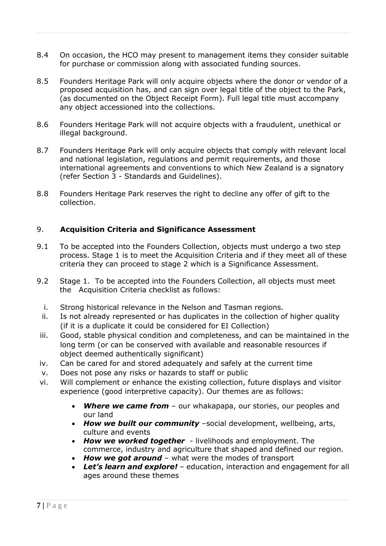- 8.4 On occasion, the HCO may present to management items they consider suitable for purchase or commission along with associated funding sources.
- 8.5 Founders Heritage Park will only acquire objects where the donor or vendor of a proposed acquisition has, and can sign over legal title of the object to the Park, (as documented on the Object Receipt Form). Full legal title must accompany any object accessioned into the collections.
- 8.6 Founders Heritage Park will not acquire objects with a fraudulent, unethical or illegal background.
- 8.7 Founders Heritage Park will only acquire objects that comply with relevant local and national legislation, regulations and permit requirements, and those international agreements and conventions to which New Zealand is a signatory (refer Section 3 - Standards and Guidelines).
- 8.8 Founders Heritage Park reserves the right to decline any offer of gift to the collection.

### 9. **Acquisition Criteria and Significance Assessment**

- 9.1 To be accepted into the Founders Collection, objects must undergo a two step process. Stage 1 is to meet the Acquisition Criteria and if they meet all of these criteria they can proceed to stage 2 which is a Significance Assessment.
- 9.2 Stage 1. To be accepted into the Founders Collection, all objects must meet the Acquisition Criteria checklist as follows:
	- i. Strong historical relevance in the Nelson and Tasman regions.
- ii. Is not already represented or has duplicates in the collection of higher quality (if it is a duplicate it could be considered for EI Collection)
- iii. Good, stable physical condition and completeness, and can be maintained in the long term (or can be conserved with available and reasonable resources if object deemed authentically significant)
- iv. Can be cared for and stored adequately and safely at the current time
- v. Does not pose any risks or hazards to staff or public
- vi. Will complement or enhance the existing collection, future displays and visitor experience (good interpretive capacity). Our themes are as follows:
	- *Where we came from* our whakapapa, our stories, our peoples and our land
	- *How we built our community* –social development, wellbeing, arts, culture and events
	- *How we worked together* livelihoods and employment. The commerce, industry and agriculture that shaped and defined our region.
	- *How we got around* what were the modes of transport
	- *Let's learn and explore!* education, interaction and engagement for all ages around these themes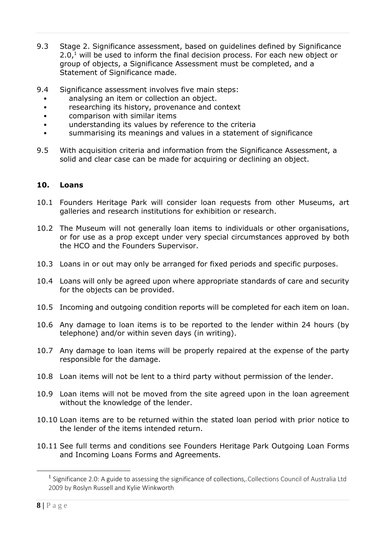- 9.3 Stage 2. Significance assessment, based on guidelines defined by Significance  $2.0<sup>1</sup>$  will be used to inform the final decision process. For each new object or group of objects, a Significance Assessment must be completed, and a Statement of Significance made.
- 9.4 Significance assessment involves five main steps:
	- analysing an item or collection an object.
	- researching its history, provenance and context
	- comparison with similar items
	- understanding its values by reference to the criteria
	- summarising its meanings and values in a statement of significance
- 9.5 With acquisition criteria and information from the Significance Assessment, a solid and clear case can be made for acquiring or declining an object.

#### **10. Loans**

- 10.1 Founders Heritage Park will consider loan requests from other Museums, art galleries and research institutions for exhibition or research.
- 10.2 The Museum will not generally loan items to individuals or other organisations, or for use as a prop except under very special circumstances approved by both the HCO and the Founders Supervisor.
- 10.3 Loans in or out may only be arranged for fixed periods and specific purposes.
- 10.4 Loans will only be agreed upon where appropriate standards of care and security for the objects can be provided.
- 10.5 Incoming and outgoing condition reports will be completed for each item on loan.
- 10.6 Any damage to loan items is to be reported to the lender within 24 hours (by telephone) and/or within seven days (in writing).
- 10.7 Any damage to loan items will be properly repaired at the expense of the party responsible for the damage.
- 10.8 Loan items will not be lent to a third party without permission of the lender.
- 10.9 Loan items will not be moved from the site agreed upon in the loan agreement without the knowledge of the lender.
- 10.10 Loan items are to be returned within the stated loan period with prior notice to the lender of the items intended return.
- 10.11 See full terms and conditions see Founders Heritage Park Outgoing Loan Forms and Incoming Loans Forms and Agreements.

<sup>&</sup>lt;sup>1</sup> Significance 2.0: A guide to assessing the significance of collections,.Collections Council of Australia Ltd 2009 by Roslyn Russell and Kylie Winkworth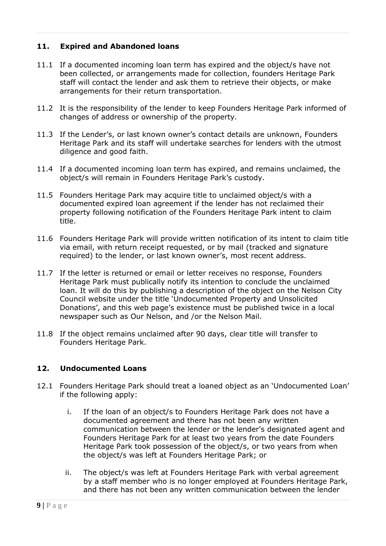### **11. Expired and Abandoned loans**

- 11.1 If a documented incoming loan term has expired and the object/s have not been collected, or arrangements made for collection, founders Heritage Park staff will contact the lender and ask them to retrieve their objects, or make arrangements for their return transportation.
- 11.2 It is the responsibility of the lender to keep Founders Heritage Park informed of changes of address or ownership of the property.
- 11.3 If the Lender's, or last known owner's contact details are unknown, Founders Heritage Park and its staff will undertake searches for lenders with the utmost diligence and good faith.
- 11.4 If a documented incoming loan term has expired, and remains unclaimed, the object/s will remain in Founders Heritage Park's custody.
- 11.5 Founders Heritage Park may acquire title to unclaimed object/s with a documented expired loan agreement if the lender has not reclaimed their property following notification of the Founders Heritage Park intent to claim title.
- 11.6 Founders Heritage Park will provide written notification of its intent to claim title via email, with return receipt requested, or by mail (tracked and signature required) to the lender, or last known owner's, most recent address.
- 11.7 If the letter is returned or email or letter receives no response, Founders Heritage Park must publically notify its intention to conclude the unclaimed loan. It will do this by publishing a description of the object on the Nelson City Council website under the title 'Undocumented Property and Unsolicited Donations', and this web page's existence must be published twice in a local newspaper such as Our Nelson, and /or the Nelson Mail.
- 11.8 If the object remains unclaimed after 90 days, clear title will transfer to Founders Heritage Park.

### **12. Undocumented Loans**

- 12.1 Founders Heritage Park should treat a loaned object as an 'Undocumented Loan' if the following apply:
	- i. If the loan of an object/s to Founders Heritage Park does not have a documented agreement and there has not been any written communication between the lender or the lender's designated agent and Founders Heritage Park for at least two years from the date Founders Heritage Park took possession of the object/s, or two years from when the object/s was left at Founders Heritage Park; or
	- ii. The object/s was left at Founders Heritage Park with verbal agreement by a staff member who is no longer employed at Founders Heritage Park, and there has not been any written communication between the lender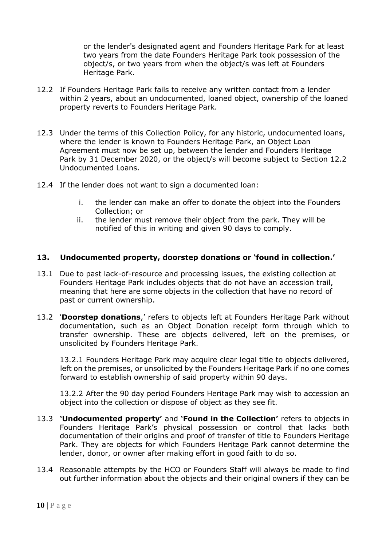or the lender's designated agent and Founders Heritage Park for at least two years from the date Founders Heritage Park took possession of the object/s, or two years from when the object/s was left at Founders Heritage Park.

- 12.2 If Founders Heritage Park fails to receive any written contact from a lender within 2 years, about an undocumented, loaned object, ownership of the loaned property reverts to Founders Heritage Park.
- 12.3 Under the terms of this Collection Policy, for any historic, undocumented loans, where the lender is known to Founders Heritage Park, an Object Loan Agreement must now be set up, between the lender and Founders Heritage Park by 31 December 2020, or the object/s will become subject to Section 12.2 Undocumented Loans.
- 12.4 If the lender does not want to sign a documented loan:
	- i. the lender can make an offer to donate the object into the Founders Collection; or
	- ii. the lender must remove their object from the park. They will be notified of this in writing and given 90 days to comply.

### **13. Undocumented property, doorstep donations or 'found in collection.'**

- 13.1 Due to past lack-of-resource and processing issues, the existing collection at Founders Heritage Park includes objects that do not have an accession trail, meaning that here are some objects in the collection that have no record of past or current ownership.
- 13.2 '**Doorstep donations**,' refers to objects left at Founders Heritage Park without documentation, such as an Object Donation receipt form through which to transfer ownership. These are objects delivered, left on the premises, or unsolicited by Founders Heritage Park.

13.2.1 Founders Heritage Park may acquire clear legal title to objects delivered, left on the premises, or unsolicited by the Founders Heritage Park if no one comes forward to establish ownership of said property within 90 days.

13.2.2 After the 90 day period Founders Heritage Park may wish to accession an object into the collection or dispose of object as they see fit.

- 13.3 **'Undocumented property'** and **'Found in the Collection'** refers to objects in Founders Heritage Park's physical possession or control that lacks both documentation of their origins and proof of transfer of title to Founders Heritage Park. They are objects for which Founders Heritage Park cannot determine the lender, donor, or owner after making effort in good faith to do so.
- 13.4 Reasonable attempts by the HCO or Founders Staff will always be made to find out further information about the objects and their original owners if they can be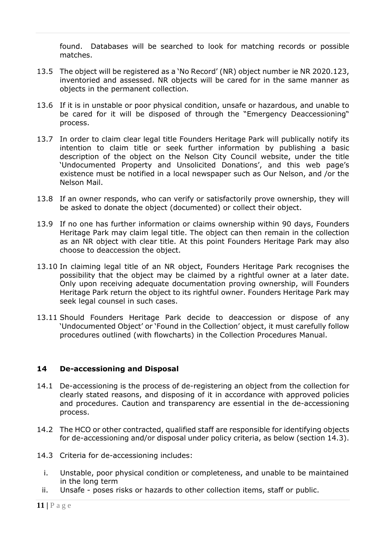found. Databases will be searched to look for matching records or possible matches.

- 13.5 The object will be registered as a 'No Record' (NR) object number ie NR 2020.123, inventoried and assessed. NR objects will be cared for in the same manner as objects in the permanent collection.
- 13.6 If it is in unstable or poor physical condition, unsafe or hazardous, and unable to be cared for it will be disposed of through the "Emergency Deaccessioning" process.
- 13.7 In order to claim clear legal title Founders Heritage Park will publically notify its intention to claim title or seek further information by publishing a basic description of the object on the Nelson City Council website, under the title 'Undocumented Property and Unsolicited Donations', and this web page's existence must be notified in a local newspaper such as Our Nelson, and /or the Nelson Mail.
- 13.8 If an owner responds, who can verify or satisfactorily prove ownership, they will be asked to donate the object (documented) or collect their object.
- 13.9 If no one has further information or claims ownership within 90 days, Founders Heritage Park may claim legal title. The object can then remain in the collection as an NR object with clear title. At this point Founders Heritage Park may also choose to deaccession the object.
- 13.10 In claiming legal title of an NR object, Founders Heritage Park recognises the possibility that the object may be claimed by a rightful owner at a later date. Only upon receiving adequate documentation proving ownership, will Founders Heritage Park return the object to its rightful owner. Founders Heritage Park may seek legal counsel in such cases.
- 13.11 Should Founders Heritage Park decide to deaccession or dispose of any 'Undocumented Object' or 'Found in the Collection' object, it must carefully follow procedures outlined (with flowcharts) in the Collection Procedures Manual.

### **14 De-accessioning and Disposal**

- 14.1 De-accessioning is the process of de-registering an object from the collection for clearly stated reasons, and disposing of it in accordance with approved policies and procedures. Caution and transparency are essential in the de-accessioning process.
- 14.2 The HCO or other contracted, qualified staff are responsible for identifying objects for de-accessioning and/or disposal under policy criteria, as below (section 14.3).
- 14.3 Criteria for de-accessioning includes:
	- i. Unstable, poor physical condition or completeness, and unable to be maintained in the long term
- ii. Unsafe poses risks or hazards to other collection items, staff or public.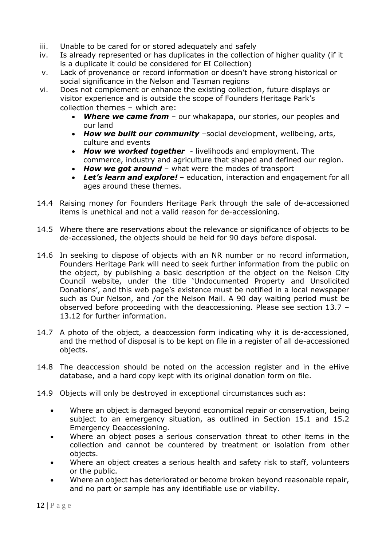- iii. Unable to be cared for or stored adequately and safely
- iv. Is already represented or has duplicates in the collection of higher quality (if it is a duplicate it could be considered for EI Collection)
- v. Lack of provenance or record information or doesn't have strong historical or social significance in the Nelson and Tasman regions
- vi. Does not complement or enhance the existing collection, future displays or visitor experience and is outside the scope of Founders Heritage Park's collection themes – which are:
	- *Where we came from* our whakapapa, our stories, our peoples and our land
	- *How we built our community* –social development, wellbeing, arts, culture and events
	- *How we worked together* livelihoods and employment. The commerce, industry and agriculture that shaped and defined our region.
	- *How we got around* what were the modes of transport
	- *Let's learn and explore!* education, interaction and engagement for all ages around these themes.
- 14.4 Raising money for Founders Heritage Park through the sale of de-accessioned items is unethical and not a valid reason for de-accessioning.
- 14.5 Where there are reservations about the relevance or significance of objects to be de-accessioned, the objects should be held for 90 days before disposal.
- 14.6 In seeking to dispose of objects with an NR number or no record information, Founders Heritage Park will need to seek further information from the public on the object, by publishing a basic description of the object on the Nelson City Council website, under the title 'Undocumented Property and Unsolicited Donations', and this web page's existence must be notified in a local newspaper such as Our Nelson, and /or the Nelson Mail. A 90 day waiting period must be observed before proceeding with the deaccessioning. Please see section 13.7 – 13.12 for further information.
- 14.7 A photo of the object, a deaccession form indicating why it is de-accessioned, and the method of disposal is to be kept on file in a register of all de-accessioned objects.
- 14.8 The deaccession should be noted on the accession register and in the eHive database, and a hard copy kept with its original donation form on file.
- 14.9 Objects will only be destroyed in exceptional circumstances such as:
	- Where an object is damaged beyond economical repair or conservation, being subject to an emergency situation, as outlined in Section 15.1 and 15.2 Emergency Deaccessioning.
	- Where an object poses a serious conservation threat to other items in the collection and cannot be countered by treatment or isolation from other objects.
	- Where an object creates a serious health and safety risk to staff, volunteers or the public.
	- Where an object has deteriorated or become broken beyond reasonable repair, and no part or sample has any identifiable use or viability.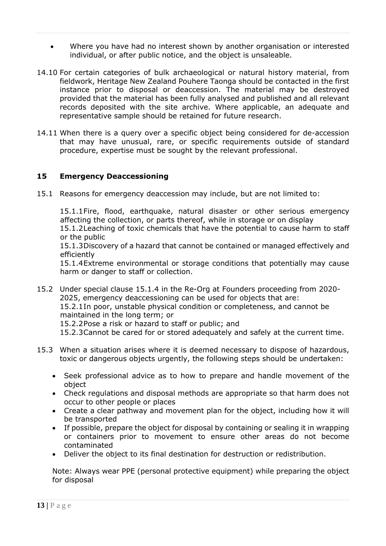- Where you have had no interest shown by another organisation or interested individual, or after public notice, and the object is unsaleable.
- 14.10 For certain categories of bulk archaeological or natural history material, from fieldwork, Heritage New Zealand Pouhere Taonga should be contacted in the first instance prior to disposal or deaccession. The material may be destroyed provided that the material has been fully analysed and published and all relevant records deposited with the site archive. Where applicable, an adequate and representative sample should be retained for future research.
- 14.11 When there is a query over a specific object being considered for de-accession that may have unusual, rare, or specific requirements outside of standard procedure, expertise must be sought by the relevant professional.

### **15 Emergency Deaccessioning**

15.1 Reasons for emergency deaccession may include, but are not limited to:

15.1.1Fire, flood, earthquake, natural disaster or other serious emergency affecting the collection, or parts thereof, while in storage or on display

15.1.2Leaching of toxic chemicals that have the potential to cause harm to staff or the public

15.1.3Discovery of a hazard that cannot be contained or managed effectively and efficiently

15.1.4Extreme environmental or storage conditions that potentially may cause harm or danger to staff or collection.

- 15.2 Under special clause 15.1.4 in the Re-Org at Founders proceeding from 2020- 2025, emergency deaccessioning can be used for objects that are: 15.2.1In poor, unstable physical condition or completeness, and cannot be maintained in the long term; or 15.2.2Pose a risk or hazard to staff or public; and 15.2.3Cannot be cared for or stored adequately and safely at the current time.
- 15.3 When a situation arises where it is deemed necessary to dispose of hazardous, toxic or dangerous objects urgently, the following steps should be undertaken:
	- Seek professional advice as to how to prepare and handle movement of the object
	- Check regulations and disposal methods are appropriate so that harm does not occur to other people or places
	- Create a clear pathway and movement plan for the object, including how it will be transported
	- If possible, prepare the object for disposal by containing or sealing it in wrapping or containers prior to movement to ensure other areas do not become contaminated
	- Deliver the object to its final destination for destruction or redistribution.

Note: Always wear PPE (personal protective equipment) while preparing the object for disposal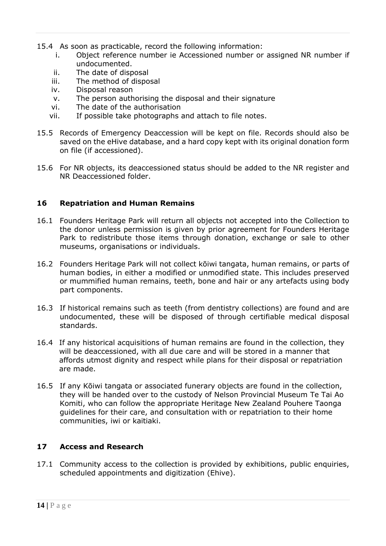15.4 As soon as practicable, record the following information:

- i. Object [reference](https://collectionstrust.org.uk/resource/disposal-reference-number) number ie Accessioned number or assigned NR number if undocumented.
- ii. The date of disposal
- iii. The method of disposal
- iv. [Disposal](https://collectionstrust.org.uk/resource/disposal-reason) reason
- v. The person authorising the disposal and their signature
- vi. The date of the authorisation
- vii. If possible take photographs and attach to file notes.
- 15.5 Records of Emergency Deaccession will be kept on file. Records should also be saved on the eHive database, and a hard copy kept with its original donation form on file (if accessioned).
- 15.6 For NR objects, its deaccessioned status should be added to the NR register and NR Deaccessioned folder.

### **16 Repatriation and Human Remains**

- 16.1 Founders Heritage Park will return all objects not accepted into the Collection to the donor unless permission is given by prior agreement for Founders Heritage Park to redistribute those items through donation, exchange or sale to other museums, organisations or individuals.
- 16.2 Founders Heritage Park will not collect kōiwi tangata, human remains, or parts of human bodies, in either a modified or unmodified state. This includes preserved or mummified human remains, teeth, bone and hair or any artefacts using body part components.
- 16.3 If historical remains such as teeth (from dentistry collections) are found and are undocumented, these will be disposed of through certifiable medical disposal standards.
- 16.4 If any historical acquisitions of human remains are found in the collection, they will be deaccessioned, with all due care and will be stored in a manner that affords utmost dignity and respect while plans for their disposal or repatriation are made.
- 16.5 If any Kōiwi tangata or associated funerary objects are found in the collection, they will be handed over to the custody of Nelson Provincial Museum Te Tai Ao Komiti, who can follow the appropriate Heritage New Zealand Pouhere Taonga guidelines for their care, and consultation with or repatriation to their home communities, iwi or kaitiaki.

# **17 Access and Research**

17.1 Community access to the collection is provided by exhibitions, public enquiries, scheduled appointments and digitization (Ehive).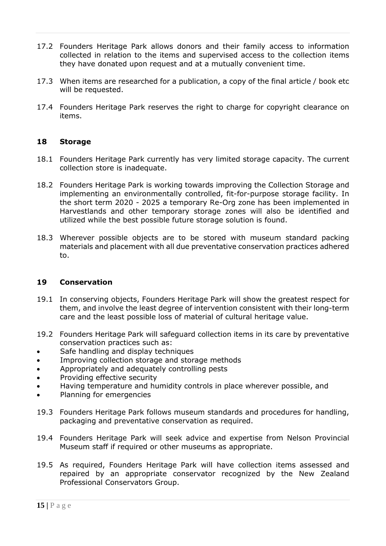- 17.2 Founders Heritage Park allows donors and their family access to information collected in relation to the items and supervised access to the collection items they have donated upon request and at a mutually convenient time.
- 17.3 When items are researched for a publication, a copy of the final article / book etc will be requested.
- 17.4 Founders Heritage Park reserves the right to charge for copyright clearance on items.

### **18 Storage**

- 18.1 Founders Heritage Park currently has very limited storage capacity. The current collection store is inadequate.
- 18.2 Founders Heritage Park is working towards improving the Collection Storage and implementing an environmentally controlled, fit-for-purpose storage facility. In the short term 2020 - 2025 a temporary Re-Org zone has been implemented in Harvestlands and other temporary storage zones will also be identified and utilized while the best possible future storage solution is found.
- 18.3 Wherever possible objects are to be stored with museum standard packing materials and placement with all due preventative conservation practices adhered to.

#### **19 Conservation**

- 19.1 In conserving objects, Founders Heritage Park will show the greatest respect for them, and involve the least degree of intervention consistent with their long-term care and the least possible loss of material of cultural heritage value.
- 19.2 Founders Heritage Park will safeguard collection items in its care by preventative conservation practices such as:
- Safe handling and display techniques
- Improving collection storage and storage methods
- Appropriately and adequately controlling pests
- Providing effective security
- Having temperature and humidity controls in place wherever possible, and
- Planning for emergencies
- 19.3 Founders Heritage Park follows museum standards and procedures for handling, packaging and preventative conservation as required.
- 19.4 Founders Heritage Park will seek advice and expertise from Nelson Provincial Museum staff if required or other museums as appropriate.
- 19.5 As required, Founders Heritage Park will have collection items assessed and repaired by an appropriate conservator recognized by the New Zealand Professional Conservators Group.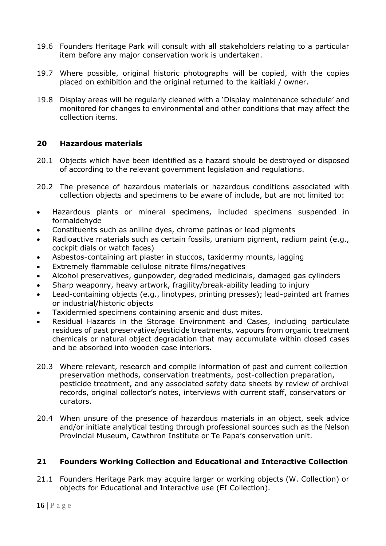- 19.6 Founders Heritage Park will consult with all stakeholders relating to a particular item before any major conservation work is undertaken.
- 19.7 Where possible, original historic photographs will be copied, with the copies placed on exhibition and the original returned to the kaitiaki / owner.
- 19.8 Display areas will be regularly cleaned with a 'Display maintenance schedule' and monitored for changes to environmental and other conditions that may affect the collection items.

### **20 Hazardous materials**

- 20.1 Objects which have been identified as a hazard should be destroyed or disposed of according to the relevant government legislation and regulations.
- 20.2 The presence of hazardous materials or hazardous conditions associated with collection objects and specimens to be aware of include, but are not limited to:
- Hazardous plants or mineral specimens, included specimens suspended in formaldehyde
- Constituents such as aniline dyes, chrome patinas or lead pigments
- Radioactive materials such as certain fossils, uranium pigment, radium paint (e.g., cockpit dials or watch faces)
- Asbestos-containing art plaster in stuccos, taxidermy mounts, lagging
- Extremely flammable cellulose nitrate films/negatives
- Alcohol preservatives, gunpowder, degraded medicinals, damaged gas cylinders
- Sharp weaponry, heavy artwork, fragility/break-ability leading to injury
- Lead-containing objects (e.g., linotypes, printing presses); lead-painted art frames or industrial/historic objects
- Taxidermied specimens containing arsenic and dust mites.
- Residual Hazards in the Storage Environment and Cases, including particulate residues of past preservative/pesticide treatments, vapours from organic treatment chemicals or natural object degradation that may accumulate within closed cases and be absorbed into wooden case interiors.
- 20.3 Where relevant, research and compile information of past and current collection preservation methods, conservation treatments, post-collection preparation, pesticide treatment, and any associated safety data sheets by review of archival records, original collector's notes, interviews with current staff, conservators or curators.
- 20.4 When unsure of the presence of hazardous materials in an object, seek advice and/or initiate analytical testing through professional sources such as the Nelson Provincial Museum, Cawthron Institute or Te Papa's conservation unit.

### **21 Founders Working Collection and Educational and Interactive Collection**

21.1 Founders Heritage Park may acquire larger or working objects (W. Collection) or objects for Educational and Interactive use (EI Collection).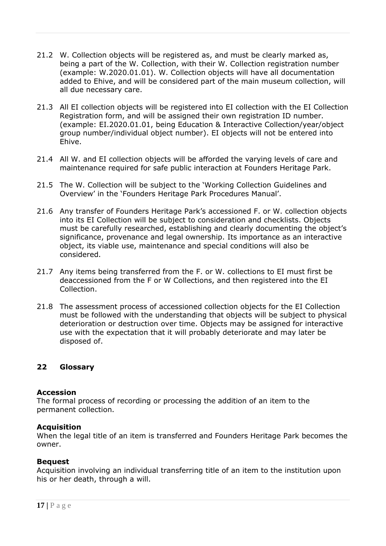- 21.2 W. Collection objects will be registered as, and must be clearly marked as, being a part of the W. Collection, with their W. Collection registration number (example: W.2020.01.01). W. Collection objects will have all documentation added to Ehive, and will be considered part of the main museum collection, will all due necessary care.
- 21.3 All EI collection objects will be registered into EI collection with the EI Collection Registration form, and will be assigned their own registration ID number. (example: EI.2020.01.01, being Education & Interactive Collection/year/object group number/individual object number). EI objects will not be entered into Ehive.
- 21.4 All W. and EI collection objects will be afforded the varying levels of care and maintenance required for safe public interaction at Founders Heritage Park.
- 21.5 The W. Collection will be subject to the 'Working Collection Guidelines and Overview' in the 'Founders Heritage Park Procedures Manual'.
- 21.6 Any transfer of Founders Heritage Park's accessioned F. or W. collection objects into its EI Collection will be subject to consideration and checklists. Objects must be carefully researched, establishing and clearly documenting the object's significance, provenance and legal ownership. Its importance as an interactive object, its viable use, maintenance and special conditions will also be considered.
- 21.7 Any items being transferred from the F. or W. collections to EI must first be deaccessioned from the F or W Collections, and then registered into the EI Collection.
- 21.8 The assessment process of accessioned collection objects for the EI Collection must be followed with the understanding that objects will be subject to physical deterioration or destruction over time. Objects may be assigned for interactive use with the expectation that it will probably deteriorate and may later be disposed of.

### **22 Glossary**

### **Accession**

The formal process of recording or processing the addition of an item to the permanent collection.

### **Acquisition**

When the legal title of an item is transferred and Founders Heritage Park becomes the owner.

### **Bequest**

Acquisition involving an individual transferring title of an item to the institution upon his or her death, through a will.